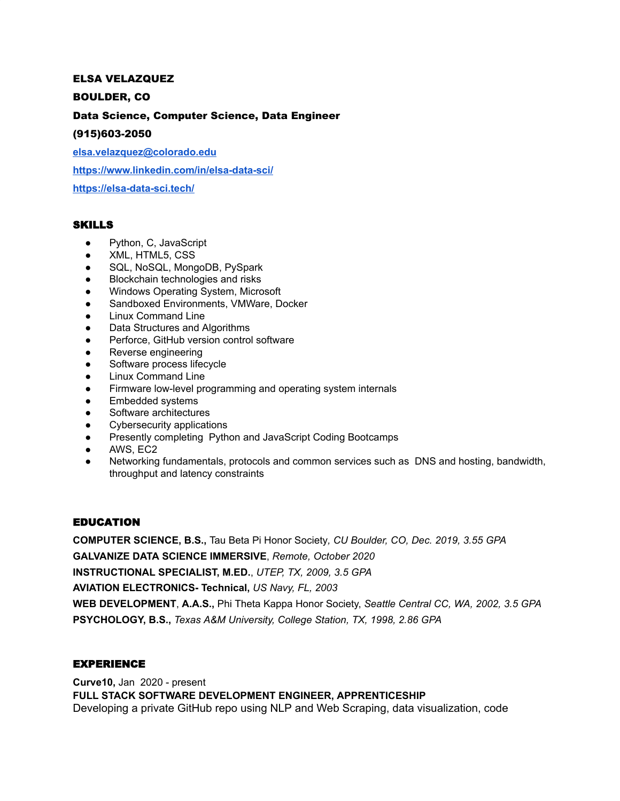### ELSA VELAZQUEZ

### BOULDER, CO

## Data Science, Computer Science, Data Engineer

#### (915)603-2050

**[elsa.velazquez@colorado.edu](mailto:elsa.velazquez@colorado.edu)**

**[https://www.linkedin.com/in/elsa-data-sci/](https://www.linkedin.com/in/elsa-velazquez-020bb9175/)**

**<https://elsa-data-sci.tech/>**

### SKILLS

- Python, C, JavaScript
- XML, HTML5, CSS
- SQL, NoSQL, MongoDB, PySpark
- Blockchain technologies and risks
- Windows Operating System, Microsoft
- Sandboxed Environments, VMWare, Docker
- Linux Command Line
- Data Structures and Algorithms
- Perforce, GitHub version control software
- Reverse engineering
- Software process lifecycle
- **Linux Command Line**
- Firmware low-level programming and operating system internals
- Embedded systems
- Software architectures
- Cybersecurity applications
- **Presently completing Python and JavaScript Coding Bootcamps**
- AWS, EC2
- Networking fundamentals, protocols and common services such as DNS and hosting, bandwidth, throughput and latency constraints

### EDUCATION

**COMPUTER SCIENCE, B.S.,** Tau Beta Pi Honor Society*, CU Boulder, CO, Dec. 2019, 3.55 GPA* **GALVANIZE DATA SCIENCE IMMERSIVE**, *Remote, October 2020* **INSTRUCTIONAL SPECIALIST, M.ED.**, *UTEP, TX, 2009, 3.5 GPA* **AVIATION ELECTRONICS- Technical,** *US Navy, FL, 2003* **WEB DEVELOPMENT**, **A.A.S.,** Phi Theta Kappa Honor Society, *Seattle Central CC, WA, 2002, 3.5 GPA* **PSYCHOLOGY, B.S.,** *Texas A&M University, College Station, TX, 1998, 2.86 GPA*

## EXPERIENCE

**Curve10,** Jan 2020 - present **FULL STACK SOFTWARE DEVELOPMENT ENGINEER, APPRENTICESHIP** Developing a private GitHub repo using NLP and Web Scraping, data visualization, code